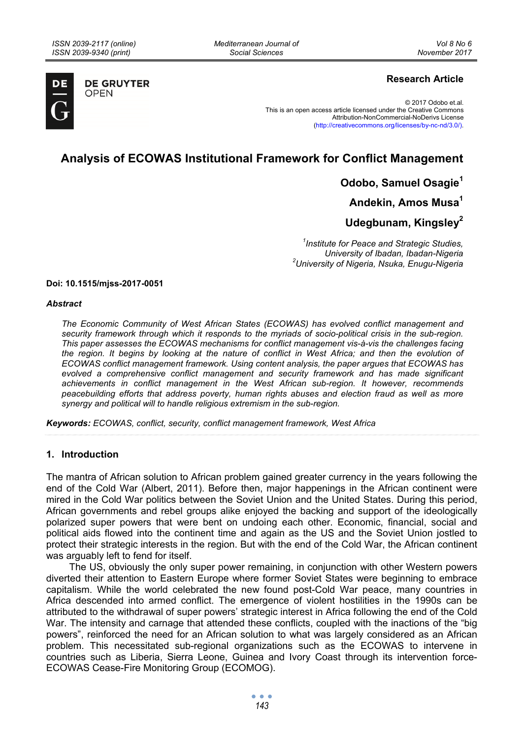*Mediterranean Journal of Social Sciences* 



**DE GRUYTER OPEN** 

## **Research Article**

© 2017 Odobo et.al. This is an open access article licensed under the Creative Commons Attribution-NonCommercial-NoDerivs License (http://creativecommons.org/licenses/by-nc-nd/3.0/).

# **Analysis of ECOWAS Institutional Framework for Conflict Management**

**Odobo, Samuel Osagie<sup>1</sup>**

**Andekin, Amos Musa<sup>1</sup>**

**Udegbunam, Kingsley2** 

*1 Institute for Peace and Strategic Studies, University of Ibadan, Ibadan-Nigeria 2 University of Nigeria, Nsuka, Enugu-Nigeria* 

**Doi: 10.1515/mjss-2017-0051** 

#### *Abstract*

*The Economic Community of West African States (ECOWAS) has evolved conflict management and security framework through which it responds to the myriads of socio-political crisis in the sub-region. This paper assesses the ECOWAS mechanisms for conflict management vis-à-vis the challenges facing the region. It begins by looking at the nature of conflict in West Africa; and then the evolution of ECOWAS conflict management framework. Using content analysis, the paper argues that ECOWAS has evolved a comprehensive conflict management and security framework and has made significant achievements in conflict management in the West African sub-region. It however, recommends peacebuilding efforts that address poverty, human rights abuses and election fraud as well as more synergy and political will to handle religious extremism in the sub-region.* 

*Keywords: ECOWAS, conflict, security, conflict management framework, West Africa* 

## **1. Introduction**

The mantra of African solution to African problem gained greater currency in the years following the end of the Cold War (Albert, 2011). Before then, major happenings in the African continent were mired in the Cold War politics between the Soviet Union and the United States. During this period, African governments and rebel groups alike enjoyed the backing and support of the ideologically polarized super powers that were bent on undoing each other. Economic, financial, social and political aids flowed into the continent time and again as the US and the Soviet Union jostled to protect their strategic interests in the region. But with the end of the Cold War, the African continent was arguably left to fend for itself.

The US, obviously the only super power remaining, in conjunction with other Western powers diverted their attention to Eastern Europe where former Soviet States were beginning to embrace capitalism. While the world celebrated the new found post-Cold War peace, many countries in Africa descended into armed conflict. The emergence of violent hostilities in the 1990s can be attributed to the withdrawal of super powers' strategic interest in Africa following the end of the Cold War. The intensity and carnage that attended these conflicts, coupled with the inactions of the "big powers", reinforced the need for an African solution to what was largely considered as an African problem. This necessitated sub-regional organizations such as the ECOWAS to intervene in countries such as Liberia, Sierra Leone, Guinea and Ivory Coast through its intervention force-ECOWAS Cease-Fire Monitoring Group (ECOMOG).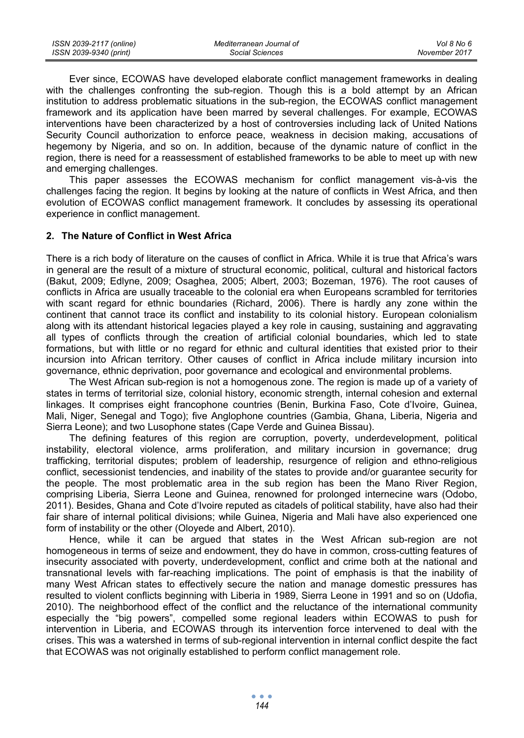| ISSN 2039-2117 (online) | Mediterranean Journal of | Vol 8 No 6    |
|-------------------------|--------------------------|---------------|
| ISSN 2039-9340 (print)  | Social Sciences          | November 2017 |

Ever since, ECOWAS have developed elaborate conflict management frameworks in dealing with the challenges confronting the sub-region. Though this is a bold attempt by an African institution to address problematic situations in the sub-region, the ECOWAS conflict management framework and its application have been marred by several challenges. For example, ECOWAS interventions have been characterized by a host of controversies including lack of United Nations Security Council authorization to enforce peace, weakness in decision making, accusations of hegemony by Nigeria, and so on. In addition, because of the dynamic nature of conflict in the region, there is need for a reassessment of established frameworks to be able to meet up with new and emerging challenges.

This paper assesses the ECOWAS mechanism for conflict management vis-à-vis the challenges facing the region. It begins by looking at the nature of conflicts in West Africa, and then evolution of ECOWAS conflict management framework. It concludes by assessing its operational experience in conflict management.

#### **2. The Nature of Conflict in West Africa**

There is a rich body of literature on the causes of conflict in Africa. While it is true that Africa's wars in general are the result of a mixture of structural economic, political, cultural and historical factors (Bakut, 2009; Edlyne, 2009; Osaghea, 2005; Albert, 2003; Bozeman, 1976). The root causes of conflicts in Africa are usually traceable to the colonial era when Europeans scrambled for territories with scant regard for ethnic boundaries (Richard, 2006). There is hardly any zone within the continent that cannot trace its conflict and instability to its colonial history. European colonialism along with its attendant historical legacies played a key role in causing, sustaining and aggravating all types of conflicts through the creation of artificial colonial boundaries, which led to state formations, but with little or no regard for ethnic and cultural identities that existed prior to their incursion into African territory. Other causes of conflict in Africa include military incursion into governance, ethnic deprivation, poor governance and ecological and environmental problems.

The West African sub-region is not a homogenous zone. The region is made up of a variety of states in terms of territorial size, colonial history, economic strength, internal cohesion and external linkages. It comprises eight francophone countries (Benin, Burkina Faso, Cote d'Ivoire, Guinea, Mali, Niger, Senegal and Togo); five Anglophone countries (Gambia, Ghana, Liberia, Nigeria and Sierra Leone); and two Lusophone states (Cape Verde and Guinea Bissau).

The defining features of this region are corruption, poverty, underdevelopment, political instability, electoral violence, arms proliferation, and military incursion in governance; drug trafficking, territorial disputes; problem of leadership, resurgence of religion and ethno-religious conflict, secessionist tendencies, and inability of the states to provide and/or guarantee security for the people. The most problematic area in the sub region has been the Mano River Region, comprising Liberia, Sierra Leone and Guinea, renowned for prolonged internecine wars (Odobo, 2011). Besides, Ghana and Cote d'Ivoire reputed as citadels of political stability, have also had their fair share of internal political divisions; while Guinea, Nigeria and Mali have also experienced one form of instability or the other (Oloyede and Albert, 2010).

Hence, while it can be argued that states in the West African sub-region are not homogeneous in terms of seize and endowment, they do have in common, cross-cutting features of insecurity associated with poverty, underdevelopment, conflict and crime both at the national and transnational levels with far-reaching implications. The point of emphasis is that the inability of many West African states to effectively secure the nation and manage domestic pressures has resulted to violent conflicts beginning with Liberia in 1989, Sierra Leone in 1991 and so on (Udofia, 2010). The neighborhood effect of the conflict and the reluctance of the international community especially the "big powers", compelled some regional leaders within ECOWAS to push for intervention in Liberia, and ECOWAS through its intervention force intervened to deal with the crises. This was a watershed in terms of sub-regional intervention in internal conflict despite the fact that ECOWAS was not originally established to perform conflict management role.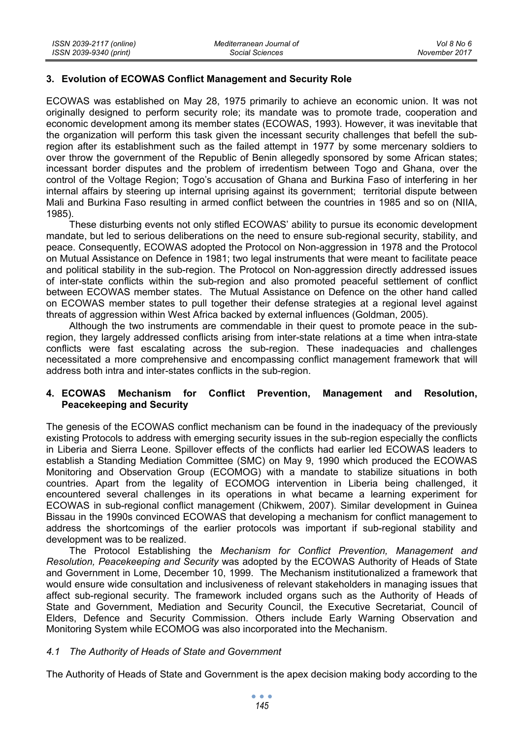## **3. Evolution of ECOWAS Conflict Management and Security Role**

ECOWAS was established on May 28, 1975 primarily to achieve an economic union. It was not originally designed to perform security role; its mandate was to promote trade, cooperation and economic development among its member states (ECOWAS, 1993). However, it was inevitable that the organization will perform this task given the incessant security challenges that befell the subregion after its establishment such as the failed attempt in 1977 by some mercenary soldiers to over throw the government of the Republic of Benin allegedly sponsored by some African states; incessant border disputes and the problem of irredentism between Togo and Ghana, over the control of the Voltage Region; Togo's accusation of Ghana and Burkina Faso of interfering in her internal affairs by steering up internal uprising against its government; territorial dispute between Mali and Burkina Faso resulting in armed conflict between the countries in 1985 and so on (NIIA, 1985).

These disturbing events not only stifled ECOWAS' ability to pursue its economic development mandate, but led to serious deliberations on the need to ensure sub-regional security, stability, and peace. Consequently, ECOWAS adopted the Protocol on Non-aggression in 1978 and the Protocol on Mutual Assistance on Defence in 1981; two legal instruments that were meant to facilitate peace and political stability in the sub-region. The Protocol on Non-aggression directly addressed issues of inter-state conflicts within the sub-region and also promoted peaceful settlement of conflict between ECOWAS member states. The Mutual Assistance on Defence on the other hand called on ECOWAS member states to pull together their defense strategies at a regional level against threats of aggression within West Africa backed by external influences (Goldman, 2005).

Although the two instruments are commendable in their quest to promote peace in the subregion, they largely addressed conflicts arising from inter-state relations at a time when intra-state conflicts were fast escalating across the sub-region. These inadequacies and challenges necessitated a more comprehensive and encompassing conflict management framework that will address both intra and inter-states conflicts in the sub-region.

## **4. ECOWAS Mechanism for Conflict Prevention, Management and Resolution, Peacekeeping and Security**

The genesis of the ECOWAS conflict mechanism can be found in the inadequacy of the previously existing Protocols to address with emerging security issues in the sub-region especially the conflicts in Liberia and Sierra Leone. Spillover effects of the conflicts had earlier led ECOWAS leaders to establish a Standing Mediation Committee (SMC) on May 9, 1990 which produced the ECOWAS Monitoring and Observation Group (ECOMOG) with a mandate to stabilize situations in both countries. Apart from the legality of ECOMOG intervention in Liberia being challenged, it encountered several challenges in its operations in what became a learning experiment for ECOWAS in sub-regional conflict management (Chikwem, 2007). Similar development in Guinea Bissau in the 1990s convinced ECOWAS that developing a mechanism for conflict management to address the shortcomings of the earlier protocols was important if sub-regional stability and development was to be realized.

The Protocol Establishing the *Mechanism for Conflict Prevention, Management and Resolution, Peacekeeping and Security* was adopted by the ECOWAS Authority of Heads of State and Government in Lome, December 10, 1999. The Mechanism institutionalized a framework that would ensure wide consultation and inclusiveness of relevant stakeholders in managing issues that affect sub-regional security. The framework included organs such as the Authority of Heads of State and Government, Mediation and Security Council, the Executive Secretariat, Council of Elders, Defence and Security Commission. Others include Early Warning Observation and Monitoring System while ECOMOG was also incorporated into the Mechanism.

## *4.1 The Authority of Heads of State and Government*

The Authority of Heads of State and Government is the apex decision making body according to the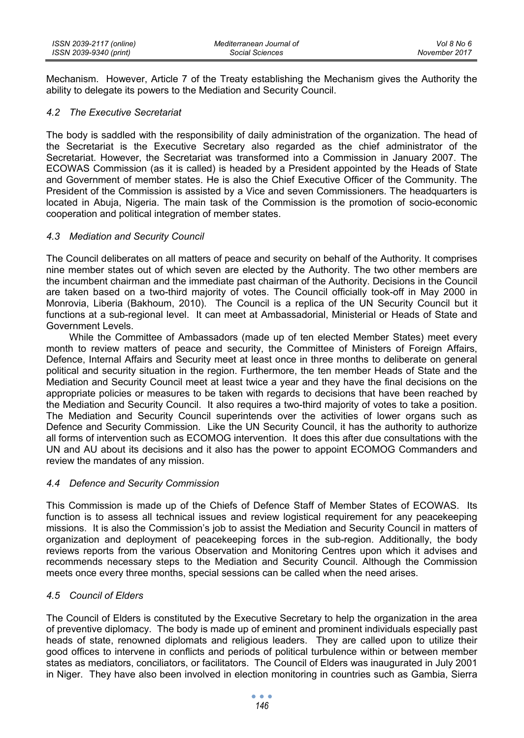Mechanism. However, Article 7 of the Treaty establishing the Mechanism gives the Authority the ability to delegate its powers to the Mediation and Security Council.

#### *4.2 The Executive Secretariat*

The body is saddled with the responsibility of daily administration of the organization. The head of the Secretariat is the Executive Secretary also regarded as the chief administrator of the Secretariat. However, the Secretariat was transformed into a Commission in January 2007. The ECOWAS Commission (as it is called) is headed by a President appointed by the Heads of State and Government of member states. He is also the Chief Executive Officer of the Community. The President of the Commission is assisted by a Vice and seven Commissioners. The headquarters is located in Abuja, Nigeria. The main task of the Commission is the promotion of socio-economic cooperation and political integration of member states.

## *4.3 Mediation and Security Council*

The Council deliberates on all matters of peace and security on behalf of the Authority. It comprises nine member states out of which seven are elected by the Authority. The two other members are the incumbent chairman and the immediate past chairman of the Authority. Decisions in the Council are taken based on a two-third majority of votes. The Council officially took-off in May 2000 in Monrovia, Liberia (Bakhoum, 2010). The Council is a replica of the UN Security Council but it functions at a sub-regional level. It can meet at Ambassadorial, Ministerial or Heads of State and Government Levels.

While the Committee of Ambassadors (made up of ten elected Member States) meet every month to review matters of peace and security, the Committee of Ministers of Foreign Affairs, Defence, Internal Affairs and Security meet at least once in three months to deliberate on general political and security situation in the region. Furthermore, the ten member Heads of State and the Mediation and Security Council meet at least twice a year and they have the final decisions on the appropriate policies or measures to be taken with regards to decisions that have been reached by the Mediation and Security Council. It also requires a two-third majority of votes to take a position. The Mediation and Security Council superintends over the activities of lower organs such as Defence and Security Commission. Like the UN Security Council, it has the authority to authorize all forms of intervention such as ECOMOG intervention. It does this after due consultations with the UN and AU about its decisions and it also has the power to appoint ECOMOG Commanders and review the mandates of any mission.

#### *4.4 Defence and Security Commission*

This Commission is made up of the Chiefs of Defence Staff of Member States of ECOWAS. Its function is to assess all technical issues and review logistical requirement for any peacekeeping missions. It is also the Commission's job to assist the Mediation and Security Council in matters of organization and deployment of peacekeeping forces in the sub-region. Additionally, the body reviews reports from the various Observation and Monitoring Centres upon which it advises and recommends necessary steps to the Mediation and Security Council. Although the Commission meets once every three months, special sessions can be called when the need arises.

## *4.5 Council of Elders*

The Council of Elders is constituted by the Executive Secretary to help the organization in the area of preventive diplomacy. The body is made up of eminent and prominent individuals especially past heads of state, renowned diplomats and religious leaders. They are called upon to utilize their good offices to intervene in conflicts and periods of political turbulence within or between member states as mediators, conciliators, or facilitators. The Council of Elders was inaugurated in July 2001 in Niger. They have also been involved in election monitoring in countries such as Gambia, Sierra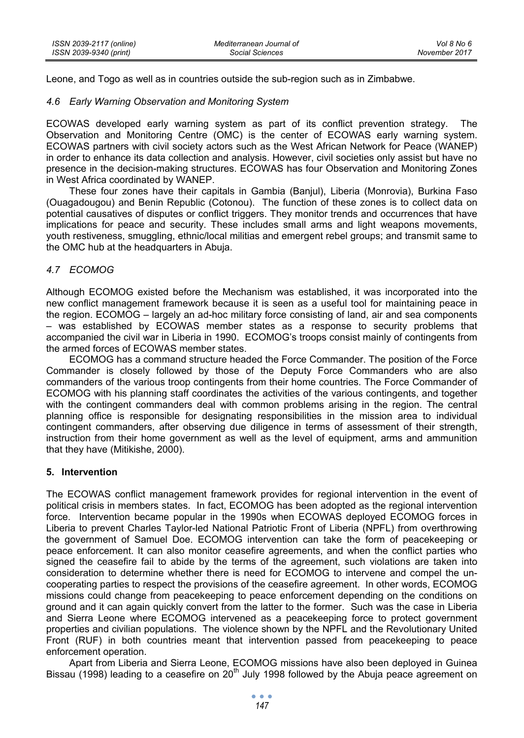Leone, and Togo as well as in countries outside the sub-region such as in Zimbabwe.

## *4.6 Early Warning Observation and Monitoring System*

ECOWAS developed early warning system as part of its conflict prevention strategy. The Observation and Monitoring Centre (OMC) is the center of ECOWAS early warning system. ECOWAS partners with civil society actors such as the West African Network for Peace (WANEP) in order to enhance its data collection and analysis. However, civil societies only assist but have no presence in the decision-making structures. ECOWAS has four Observation and Monitoring Zones in West Africa coordinated by WANEP.

These four zones have their capitals in Gambia (Banjul), Liberia (Monrovia), Burkina Faso (Ouagadougou) and Benin Republic (Cotonou). The function of these zones is to collect data on potential causatives of disputes or conflict triggers. They monitor trends and occurrences that have implications for peace and security. These includes small arms and light weapons movements, youth restiveness, smuggling, ethnic/local militias and emergent rebel groups; and transmit same to the OMC hub at the headquarters in Abuja.

## *4.7 ECOMOG*

Although ECOMOG existed before the Mechanism was established, it was incorporated into the new conflict management framework because it is seen as a useful tool for maintaining peace in the region. ECOMOG – largely an ad-hoc military force consisting of land, air and sea components – was established by ECOWAS member states as a response to security problems that accompanied the civil war in Liberia in 1990. ECOMOG's troops consist mainly of contingents from the armed forces of ECOWAS member states.

ECOMOG has a command structure headed the Force Commander. The position of the Force Commander is closely followed by those of the Deputy Force Commanders who are also commanders of the various troop contingents from their home countries. The Force Commander of ECOMOG with his planning staff coordinates the activities of the various contingents, and together with the contingent commanders deal with common problems arising in the region. The central planning office is responsible for designating responsibilities in the mission area to individual contingent commanders, after observing due diligence in terms of assessment of their strength, instruction from their home government as well as the level of equipment, arms and ammunition that they have (Mitikishe, 2000).

## **5. Intervention**

The ECOWAS conflict management framework provides for regional intervention in the event of political crisis in members states. In fact, ECOMOG has been adopted as the regional intervention force. Intervention became popular in the 1990s when ECOWAS deployed ECOMOG forces in Liberia to prevent Charles Taylor-led National Patriotic Front of Liberia (NPFL) from overthrowing the government of Samuel Doe. ECOMOG intervention can take the form of peacekeeping or peace enforcement. It can also monitor ceasefire agreements, and when the conflict parties who signed the ceasefire fail to abide by the terms of the agreement, such violations are taken into consideration to determine whether there is need for ECOMOG to intervene and compel the uncooperating parties to respect the provisions of the ceasefire agreement. In other words, ECOMOG missions could change from peacekeeping to peace enforcement depending on the conditions on ground and it can again quickly convert from the latter to the former. Such was the case in Liberia and Sierra Leone where ECOMOG intervened as a peacekeeping force to protect government properties and civilian populations. The violence shown by the NPFL and the Revolutionary United Front (RUF) in both countries meant that intervention passed from peacekeeping to peace enforcement operation.

Apart from Liberia and Sierra Leone, ECOMOG missions have also been deployed in Guinea Bissau (1998) leading to a ceasefire on 20<sup>th</sup> July 1998 followed by the Abuja peace agreement on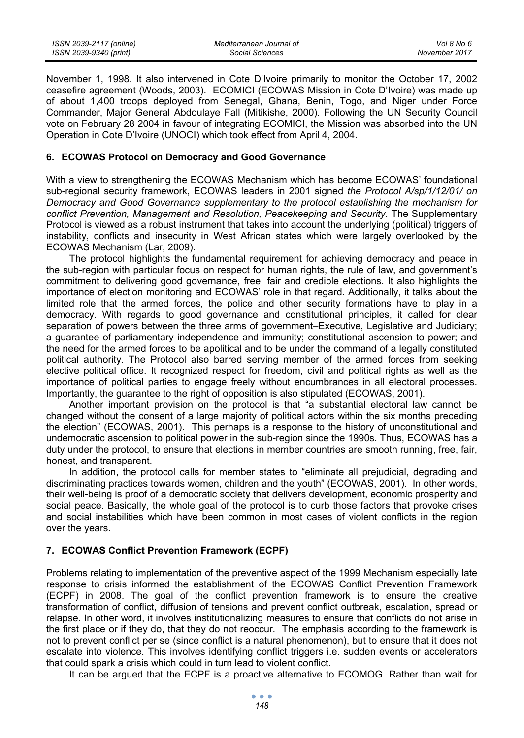| ISSN 2039-2117 (online) | Mediterranean Journal of | Vol 8 No 6    |
|-------------------------|--------------------------|---------------|
| ISSN 2039-9340 (print)  | Social Sciences          | November 2017 |

November 1, 1998. It also intervened in Cote D'Ivoire primarily to monitor the October 17, 2002 ceasefire agreement (Woods, 2003). ECOMICI (ECOWAS Mission in Cote D'Ivoire) was made up of about 1,400 troops deployed from Senegal, Ghana, Benin, Togo, and Niger under Force Commander, Major General Abdoulaye Fall (Mitikishe, 2000). Following the UN Security Council vote on February 28 2004 in favour of integrating ECOMICI, the Mission was absorbed into the UN Operation in Cote D'Ivoire (UNOCI) which took effect from April 4, 2004.

## **6. ECOWAS Protocol on Democracy and Good Governance**

With a view to strengthening the ECOWAS Mechanism which has become ECOWAS' foundational sub-regional security framework, ECOWAS leaders in 2001 signed *the Protocol A/sp/1/12/01/ on Democracy and Good Governance supplementary to the protocol establishing the mechanism for conflict Prevention, Management and Resolution, Peacekeeping and Security*. The Supplementary Protocol is viewed as a robust instrument that takes into account the underlying (political) triggers of instability, conflicts and insecurity in West African states which were largely overlooked by the ECOWAS Mechanism (Lar, 2009).

The protocol highlights the fundamental requirement for achieving democracy and peace in the sub-region with particular focus on respect for human rights, the rule of law, and government's commitment to delivering good governance, free, fair and credible elections. It also highlights the importance of election monitoring and ECOWAS' role in that regard. Additionally, it talks about the limited role that the armed forces, the police and other security formations have to play in a democracy. With regards to good governance and constitutional principles, it called for clear separation of powers between the three arms of government–Executive, Legislative and Judiciary; a guarantee of parliamentary independence and immunity; constitutional ascension to power; and the need for the armed forces to be apolitical and to be under the command of a legally constituted political authority. The Protocol also barred serving member of the armed forces from seeking elective political office. It recognized respect for freedom, civil and political rights as well as the importance of political parties to engage freely without encumbrances in all electoral processes. Importantly, the guarantee to the right of opposition is also stipulated (ECOWAS, 2001).

Another important provision on the protocol is that "a substantial electoral law cannot be changed without the consent of a large majority of political actors within the six months preceding the election" (ECOWAS, 2001). This perhaps is a response to the history of unconstitutional and undemocratic ascension to political power in the sub-region since the 1990s. Thus, ECOWAS has a duty under the protocol, to ensure that elections in member countries are smooth running, free, fair, honest, and transparent.

In addition, the protocol calls for member states to "eliminate all prejudicial, degrading and discriminating practices towards women, children and the youth" (ECOWAS, 2001). In other words, their well-being is proof of a democratic society that delivers development, economic prosperity and social peace. Basically, the whole goal of the protocol is to curb those factors that provoke crises and social instabilities which have been common in most cases of violent conflicts in the region over the years.

## **7. ECOWAS Conflict Prevention Framework (ECPF)**

Problems relating to implementation of the preventive aspect of the 1999 Mechanism especially late response to crisis informed the establishment of the ECOWAS Conflict Prevention Framework (ECPF) in 2008. The goal of the conflict prevention framework is to ensure the creative transformation of conflict, diffusion of tensions and prevent conflict outbreak, escalation, spread or relapse. In other word, it involves institutionalizing measures to ensure that conflicts do not arise in the first place or if they do, that they do not reoccur. The emphasis according to the framework is not to prevent conflict per se (since conflict is a natural phenomenon), but to ensure that it does not escalate into violence. This involves identifying conflict triggers i.e. sudden events or accelerators that could spark a crisis which could in turn lead to violent conflict.

It can be argued that the ECPF is a proactive alternative to ECOMOG. Rather than wait for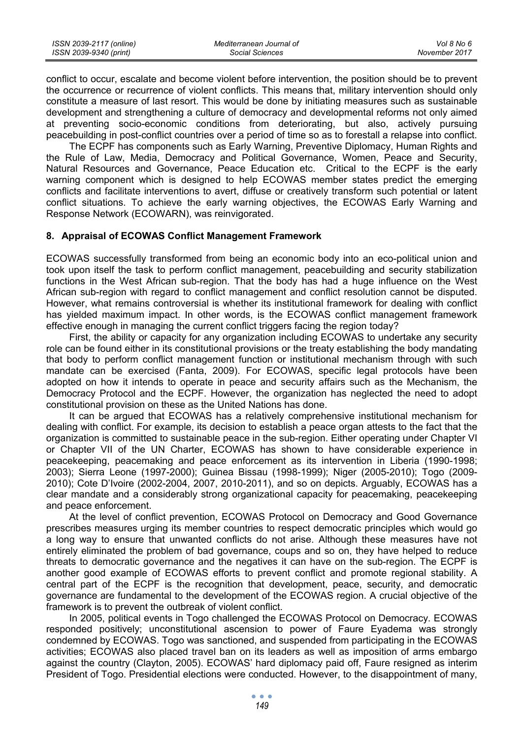| ISSN 2039-2117 (online) | Mediterranean Journal of | Vol 8 No 6    |
|-------------------------|--------------------------|---------------|
| ISSN 2039-9340 (print)  | Social Sciences          | November 2017 |

conflict to occur, escalate and become violent before intervention, the position should be to prevent the occurrence or recurrence of violent conflicts. This means that, military intervention should only constitute a measure of last resort. This would be done by initiating measures such as sustainable development and strengthening a culture of democracy and developmental reforms not only aimed at preventing socio-economic conditions from deteriorating, but also, actively pursuing peacebuilding in post-conflict countries over a period of time so as to forestall a relapse into conflict.

The ECPF has components such as Early Warning, Preventive Diplomacy, Human Rights and the Rule of Law, Media, Democracy and Political Governance, Women, Peace and Security, Natural Resources and Governance, Peace Education etc. Critical to the ECPF is the early warning component which is designed to help ECOWAS member states predict the emerging conflicts and facilitate interventions to avert, diffuse or creatively transform such potential or latent conflict situations. To achieve the early warning objectives, the ECOWAS Early Warning and Response Network (ECOWARN), was reinvigorated.

#### **8. Appraisal of ECOWAS Conflict Management Framework**

ECOWAS successfully transformed from being an economic body into an eco-political union and took upon itself the task to perform conflict management, peacebuilding and security stabilization functions in the West African sub-region. That the body has had a huge influence on the West African sub-region with regard to conflict management and conflict resolution cannot be disputed. However, what remains controversial is whether its institutional framework for dealing with conflict has yielded maximum impact. In other words, is the ECOWAS conflict management framework effective enough in managing the current conflict triggers facing the region today?

First, the ability or capacity for any organization including ECOWAS to undertake any security role can be found either in its constitutional provisions or the treaty establishing the body mandating that body to perform conflict management function or institutional mechanism through with such mandate can be exercised (Fanta, 2009). For ECOWAS, specific legal protocols have been adopted on how it intends to operate in peace and security affairs such as the Mechanism, the Democracy Protocol and the ECPF. However, the organization has neglected the need to adopt constitutional provision on these as the United Nations has done.

It can be argued that ECOWAS has a relatively comprehensive institutional mechanism for dealing with conflict. For example, its decision to establish a peace organ attests to the fact that the organization is committed to sustainable peace in the sub-region. Either operating under Chapter VI or Chapter VII of the UN Charter, ECOWAS has shown to have considerable experience in peacekeeping, peacemaking and peace enforcement as its intervention in Liberia (1990-1998; 2003); Sierra Leone (1997-2000); Guinea Bissau (1998-1999); Niger (2005-2010); Togo (2009- 2010); Cote D'Ivoire (2002-2004, 2007, 2010-2011), and so on depicts. Arguably, ECOWAS has a clear mandate and a considerably strong organizational capacity for peacemaking, peacekeeping and peace enforcement.

At the level of conflict prevention, ECOWAS Protocol on Democracy and Good Governance prescribes measures urging its member countries to respect democratic principles which would go a long way to ensure that unwanted conflicts do not arise. Although these measures have not entirely eliminated the problem of bad governance, coups and so on, they have helped to reduce threats to democratic governance and the negatives it can have on the sub-region. The ECPF is another good example of ECOWAS efforts to prevent conflict and promote regional stability. A central part of the ECPF is the recognition that development, peace, security, and democratic governance are fundamental to the development of the ECOWAS region. A crucial objective of the framework is to prevent the outbreak of violent conflict.

In 2005, political events in Togo challenged the ECOWAS Protocol on Democracy. ECOWAS responded positively; unconstitutional ascension to power of Faure Eyadema was strongly condemned by ECOWAS. Togo was sanctioned, and suspended from participating in the ECOWAS activities; ECOWAS also placed travel ban on its leaders as well as imposition of arms embargo against the country (Clayton, 2005). ECOWAS' hard diplomacy paid off, Faure resigned as interim President of Togo. Presidential elections were conducted. However, to the disappointment of many,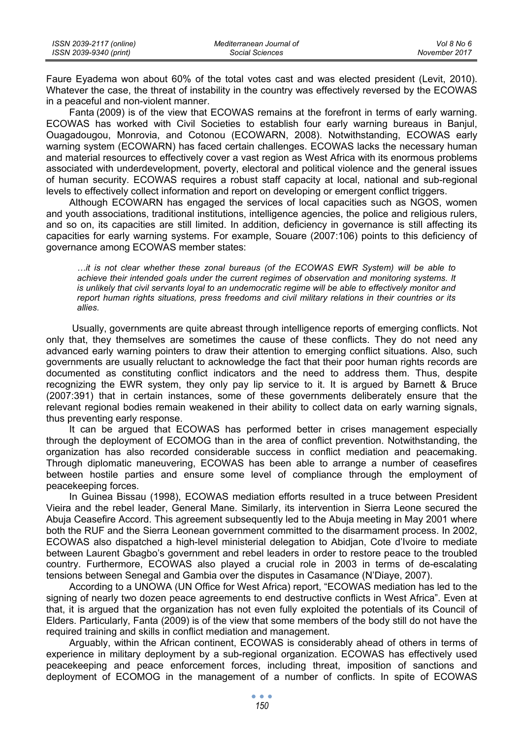| ISSN 2039-2117 (online) | Mediterranean Journal of | Vol 8 No 6    |
|-------------------------|--------------------------|---------------|
| ISSN 2039-9340 (print)  | Social Sciences          | November 2017 |

Faure Eyadema won about 60% of the total votes cast and was elected president (Levit, 2010). Whatever the case, the threat of instability in the country was effectively reversed by the ECOWAS in a peaceful and non-violent manner.

Fanta (2009) is of the view that ECOWAS remains at the forefront in terms of early warning. ECOWAS has worked with Civil Societies to establish four early warning bureaus in Banjul, Ouagadougou, Monrovia, and Cotonou (ECOWARN, 2008). Notwithstanding, ECOWAS early warning system (ECOWARN) has faced certain challenges. ECOWAS lacks the necessary human and material resources to effectively cover a vast region as West Africa with its enormous problems associated with underdevelopment, poverty, electoral and political violence and the general issues of human security. ECOWAS requires a robust staff capacity at local, national and sub-regional levels to effectively collect information and report on developing or emergent conflict triggers.

Although ECOWARN has engaged the services of local capacities such as NGOS, women and youth associations, traditional institutions, intelligence agencies, the police and religious rulers, and so on, its capacities are still limited. In addition, deficiency in governance is still affecting its capacities for early warning systems. For example, Souare (2007:106) points to this deficiency of governance among ECOWAS member states:

*…it is not clear whether these zonal bureaus (of the ECOWAS EWR System) will be able to achieve their intended goals under the current regimes of observation and monitoring systems. It is unlikely that civil servants loyal to an undemocratic regime will be able to effectively monitor and report human rights situations, press freedoms and civil military relations in their countries or its allies.* 

 Usually, governments are quite abreast through intelligence reports of emerging conflicts. Not only that, they themselves are sometimes the cause of these conflicts. They do not need any advanced early warning pointers to draw their attention to emerging conflict situations. Also, such governments are usually reluctant to acknowledge the fact that their poor human rights records are documented as constituting conflict indicators and the need to address them. Thus, despite recognizing the EWR system, they only pay lip service to it. It is argued by Barnett & Bruce (2007:391) that in certain instances, some of these governments deliberately ensure that the relevant regional bodies remain weakened in their ability to collect data on early warning signals, thus preventing early response.

It can be argued that ECOWAS has performed better in crises management especially through the deployment of ECOMOG than in the area of conflict prevention. Notwithstanding, the organization has also recorded considerable success in conflict mediation and peacemaking. Through diplomatic maneuvering, ECOWAS has been able to arrange a number of ceasefires between hostile parties and ensure some level of compliance through the employment of peacekeeping forces.

In Guinea Bissau (1998), ECOWAS mediation efforts resulted in a truce between President Vieira and the rebel leader, General Mane. Similarly, its intervention in Sierra Leone secured the Abuja Ceasefire Accord. This agreement subsequently led to the Abuja meeting in May 2001 where both the RUF and the Sierra Leonean government committed to the disarmament process. In 2002, ECOWAS also dispatched a high-level ministerial delegation to Abidjan, Cote d'Ivoire to mediate between Laurent Gbagbo's government and rebel leaders in order to restore peace to the troubled country. Furthermore, ECOWAS also played a crucial role in 2003 in terms of de-escalating tensions between Senegal and Gambia over the disputes in Casamance (N'Diaye, 2007).

According to a UNOWA (UN Office for West Africa) report, "ECOWAS mediation has led to the signing of nearly two dozen peace agreements to end destructive conflicts in West Africa". Even at that, it is argued that the organization has not even fully exploited the potentials of its Council of Elders. Particularly, Fanta (2009) is of the view that some members of the body still do not have the required training and skills in conflict mediation and management.

Arguably, within the African continent, ECOWAS is considerably ahead of others in terms of experience in military deployment by a sub-regional organization. ECOWAS has effectively used peacekeeping and peace enforcement forces, including threat, imposition of sanctions and deployment of ECOMOG in the management of a number of conflicts. In spite of ECOWAS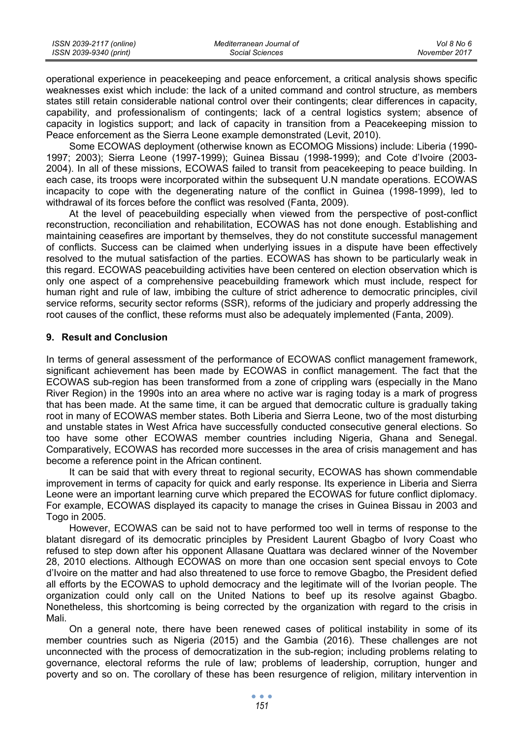| ISSN 2039-2117 (online) | Mediterranean Journal of | Vol 8 No 6    |
|-------------------------|--------------------------|---------------|
| ISSN 2039-9340 (print)  | Social Sciences          | November 2017 |

operational experience in peacekeeping and peace enforcement, a critical analysis shows specific weaknesses exist which include: the lack of a united command and control structure, as members states still retain considerable national control over their contingents; clear differences in capacity, capability, and professionalism of contingents; lack of a central logistics system; absence of capacity in logistics support; and lack of capacity in transition from a Peacekeeping mission to Peace enforcement as the Sierra Leone example demonstrated (Levit, 2010).

Some ECOWAS deployment (otherwise known as ECOMOG Missions) include: Liberia (1990- 1997; 2003); Sierra Leone (1997-1999); Guinea Bissau (1998-1999); and Cote d'Ivoire (2003- 2004). In all of these missions, ECOWAS failed to transit from peacekeeping to peace building. In each case, its troops were incorporated within the subsequent U.N mandate operations. ECOWAS incapacity to cope with the degenerating nature of the conflict in Guinea (1998-1999), led to withdrawal of its forces before the conflict was resolved (Fanta, 2009).

At the level of peacebuilding especially when viewed from the perspective of post-conflict reconstruction, reconciliation and rehabilitation, ECOWAS has not done enough. Establishing and maintaining ceasefires are important by themselves, they do not constitute successful management of conflicts. Success can be claimed when underlying issues in a dispute have been effectively resolved to the mutual satisfaction of the parties. ECOWAS has shown to be particularly weak in this regard. ECOWAS peacebuilding activities have been centered on election observation which is only one aspect of a comprehensive peacebuilding framework which must include, respect for human right and rule of law, imbibing the culture of strict adherence to democratic principles, civil service reforms, security sector reforms (SSR), reforms of the judiciary and properly addressing the root causes of the conflict, these reforms must also be adequately implemented (Fanta, 2009).

#### **9. Result and Conclusion**

In terms of general assessment of the performance of ECOWAS conflict management framework, significant achievement has been made by ECOWAS in conflict management. The fact that the ECOWAS sub-region has been transformed from a zone of crippling wars (especially in the Mano River Region) in the 1990s into an area where no active war is raging today is a mark of progress that has been made. At the same time, it can be argued that democratic culture is gradually taking root in many of ECOWAS member states. Both Liberia and Sierra Leone, two of the most disturbing and unstable states in West Africa have successfully conducted consecutive general elections. So too have some other ECOWAS member countries including Nigeria, Ghana and Senegal. Comparatively, ECOWAS has recorded more successes in the area of crisis management and has become a reference point in the African continent.

It can be said that with every threat to regional security, ECOWAS has shown commendable improvement in terms of capacity for quick and early response. Its experience in Liberia and Sierra Leone were an important learning curve which prepared the ECOWAS for future conflict diplomacy. For example, ECOWAS displayed its capacity to manage the crises in Guinea Bissau in 2003 and Togo in 2005.

However, ECOWAS can be said not to have performed too well in terms of response to the blatant disregard of its democratic principles by President Laurent Gbagbo of Ivory Coast who refused to step down after his opponent Allasane Quattara was declared winner of the November 28, 2010 elections. Although ECOWAS on more than one occasion sent special envoys to Cote d'Ivoire on the matter and had also threatened to use force to remove Gbagbo, the President defied all efforts by the ECOWAS to uphold democracy and the legitimate will of the Ivorian people. The organization could only call on the United Nations to beef up its resolve against Gbagbo. Nonetheless, this shortcoming is being corrected by the organization with regard to the crisis in Mali.

On a general note, there have been renewed cases of political instability in some of its member countries such as Nigeria (2015) and the Gambia (2016). These challenges are not unconnected with the process of democratization in the sub-region; including problems relating to governance, electoral reforms the rule of law; problems of leadership, corruption, hunger and poverty and so on. The corollary of these has been resurgence of religion, military intervention in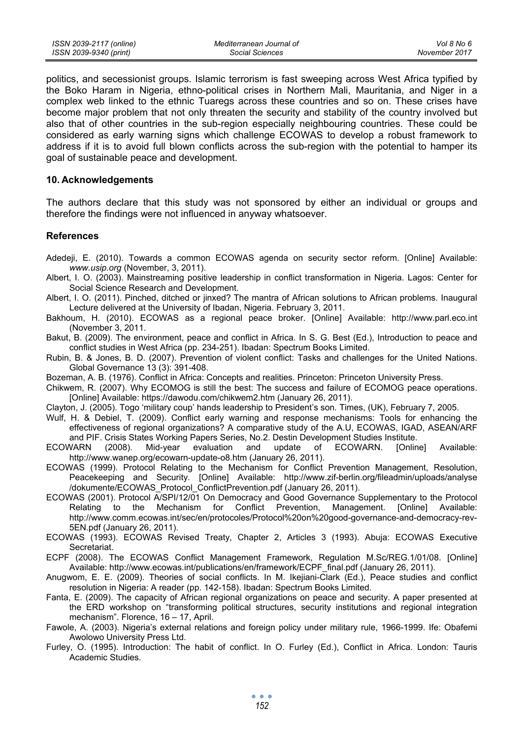politics, and secessionist groups. Islamic terrorism is fast sweeping across West Africa typified by the Boko Haram in Nigeria, ethno-political crises in Northern Mali, Mauritania, and Niger in a complex web linked to the ethnic Tuaregs across these countries and so on. These crises have become major problem that not only threaten the security and stability of the country involved but also that of other countries in the sub-region especially neighbouring countries. These could be considered as early warning signs which challenge ECOWAS to develop a robust framework to address if it is to avoid full blown conflicts across the sub-region with the potential to hamper its goal of sustainable peace and development.

#### **10. Acknowledgements**

The authors declare that this study was not sponsored by either an individual or groups and therefore the findings were not influenced in anyway whatsoever.

#### **References**

- Adedeji, E. (2010). Towards a common ECOWAS agenda on security sector reform. [Online] Available: *www.usip.org* (November, 3, 2011).
- Albert, I. O. (2003). Mainstreaming positive leadership in conflict transformation in Nigeria. Lagos: Center for Social Science Research and Development.
- Albert, I. O. (2011). Pinched, ditched or jinxed? The mantra of African solutions to African problems. Inaugural Lecture delivered at the University of Ibadan, Nigeria. February 3, 2011.
- Bakhoum, H. (2010). ECOWAS as a regional peace broker. [Online] Available: http://www.parl.eco.int (November 3, 2011.
- Bakut, B. (2009). The environment, peace and conflict in Africa. In S. G. Best (Ed.), Introduction to peace and conflict studies in West Africa (pp. 234-251). Ibadan: Spectrum Books Limited.
- Rubin, B. & Jones, B. D. (2007). Prevention of violent conflict: Tasks and challenges for the United Nations. Global Governance 13 (3): 391-408.
- Bozeman, A. B. (1976). Conflict in Africa: Concepts and realities. Princeton: Princeton University Press.
- Chikwem, R. (2007). Why ECOMOG is still the best: The success and failure of ECOMOG peace operations. [Online] Available: https://dawodu.com/chikwem2.htm (January 26, 2011).
- Clayton, J. (2005). Togo 'military coup' hands leadership to President's son*.* Times, (UK), February 7, 2005.
- Wulf, H. & Debiel, T. (2009). Conflict early warning and response mechanisms: Tools for enhancing the effectiveness of regional organizations? A comparative study of the A.U, ECOWAS, IGAD, ASEAN/ARF and PIF. Crisis States Working Papers Series, No.2. Destin Development Studies Institute.
- ECOWARN (2008). Mid-year evaluation and update of ECOWARN. [Online] Available: http://www.wanep.org/ecowarn-update-o8.htm (January 26, 2011).
- ECOWAS (1999). Protocol Relating to the Mechanism for Conflict Prevention Management, Resolution, Peacekeeping and Security. [Online] Available: http://www.zif-berlin.org/fileadmin/uploads/analyse /dokumente/ECOWAS\_Protocol\_ConflictPrevention.pdf (January 26, 2011).
- ECOWAS (2001). Protocol A/SPI/12/01 On Democracy and Good Governance Supplementary to the Protocol Conflict Prevention, Management. [Online] Available: http://www.comm.ecowas.int/sec/en/protocoles/Protocol%20on%20good-governance-and-democracy-rev-5EN.pdf (January 26, 2011).
- ECOWAS (1993). ECOWAS Revised Treaty, Chapter 2, Articles 3 (1993). Abuja: ECOWAS Executive Secretariat.
- ECPF (2008). The ECOWAS Conflict Management Framework, Regulation M.Sc/REG.1/01/08. [Online] Available: http://www.ecowas.int/publications/en/framework/ECPF\_final.pdf (January 26, 2011).
- Anugwom, E. E. (2009). Theories of social conflicts. In M. Ikejiani-Clark (Ed.), Peace studies and conflict resolution in Nigeria: A reader (pp. 142-158). Ibadan: Spectrum Books Limited.
- Fanta, E. (2009). The capacity of African regional organizations on peace and security. A paper presented at the ERD workshop on "transforming political structures, security institutions and regional integration mechanism". Florence, 16 – 17, April.
- Fawole, A. (2003). Nigeria's external relations and foreign policy under military rule, 1966-1999. Ife: Obafemi Awolowo University Press Ltd.
- Furley, O. (1995). Introduction: The habit of conflict. In O. Furley (Ed.), Conflict in Africa. London: Tauris Academic Studies.